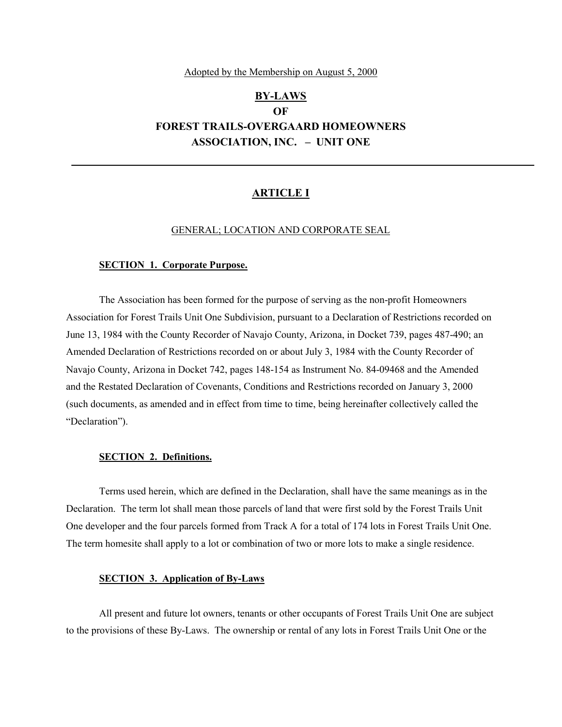#### Adopted by the Membership on August 5, 2000

# **BY-LAWS OF FOREST TRAILS-OVERGAARD HOMEOWNERS ASSOCIATION, INC. – UNIT ONE**

# **ARTICLE I**

#### GENERAL; LOCATION AND CORPORATE SEAL

#### **SECTION 1. Corporate Purpose.**

The Association has been formed for the purpose of serving as the non-profit Homeowners Association for Forest Trails Unit One Subdivision, pursuant to a Declaration of Restrictions recorded on June 13, 1984 with the County Recorder of Navajo County, Arizona, in Docket 739, pages 487-490; an Amended Declaration of Restrictions recorded on or about July 3, 1984 with the County Recorder of Navajo County, Arizona in Docket 742, pages 148-154 as Instrument No. 84-09468 and the Amended and the Restated Declaration of Covenants, Conditions and Restrictions recorded on January 3, 2000 (such documents, as amended and in effect from time to time, being hereinafter collectively called the "Declaration").

### **SECTION 2. Definitions.**

Terms used herein, which are defined in the Declaration, shall have the same meanings as in the Declaration. The term lot shall mean those parcels of land that were first sold by the Forest Trails Unit One developer and the four parcels formed from Track A for a total of 174 lots in Forest Trails Unit One. The term homesite shall apply to a lot or combination of two or more lots to make a single residence.

## **SECTION 3. Application of By-Laws**

All present and future lot owners, tenants or other occupants of Forest Trails Unit One are subject to the provisions of these By-Laws. The ownership or rental of any lots in Forest Trails Unit One or the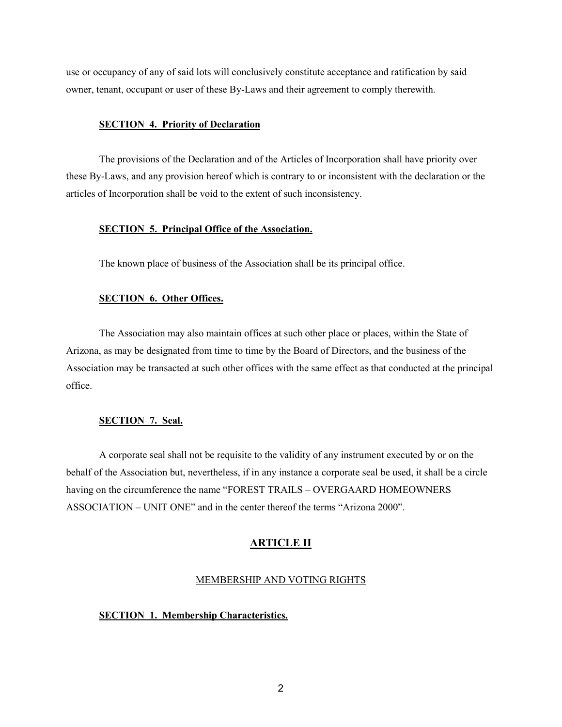use or occupancy of any of said lots will conclusively constitute acceptance and ratification by said owner, tenant, occupant or user of these By-Laws and their agreement to comply therewith.

## **SECTION 4. Priority of Declaration**

The provisions of the Declaration and of the Articles of Incorporation shall have priority over these By-Laws, and any provision hereof which is contrary to or inconsistent with the declaration or the articles of Incorporation shall be void to the extent of such inconsistency.

# **SECTION 5. Principal Office of the Association.**

The known place of business of the Association shall be its principal office.

# **SECTION 6. Other Offices.**

The Association may also maintain offices at such other place or places, within the State of Arizona, as may be designated from time to time by the Board of Directors, and the business of the Association may be transacted at such other offices with the same effect as that conducted at the principal office.

# **SECTION 7. Seal.**

A corporate seal shall not be requisite to the validity of any instrument executed by or on the behalf of the Association but, nevertheless, if in any instance a corporate seal be used, it shall be a circle having on the circumference the name "FOREST TRAILS – OVERGAARD HOMEOWNERS ASSOCIATION – UNIT ONE" and in the center thereof the terms "Arizona 2000".

## **ARTICLE II**

## MEMBERSHIP AND VOTING RIGHTS

#### **SECTION 1. Membership Characteristics.**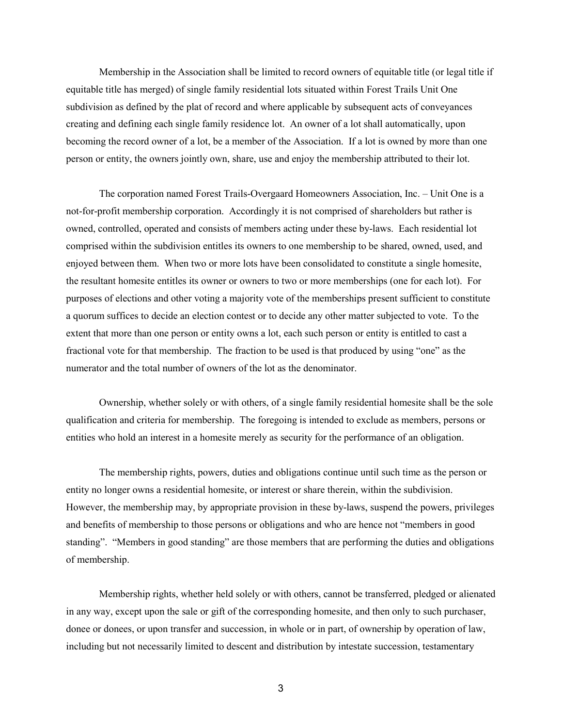Membership in the Association shall be limited to record owners of equitable title (or legal title if equitable title has merged) of single family residential lots situated within Forest Trails Unit One subdivision as defined by the plat of record and where applicable by subsequent acts of conveyances creating and defining each single family residence lot. An owner of a lot shall automatically, upon becoming the record owner of a lot, be a member of the Association. If a lot is owned by more than one person or entity, the owners jointly own, share, use and enjoy the membership attributed to their lot.

The corporation named Forest Trails-Overgaard Homeowners Association, Inc. – Unit One is a not-for-profit membership corporation. Accordingly it is not comprised of shareholders but rather is owned, controlled, operated and consists of members acting under these by-laws. Each residential lot comprised within the subdivision entitles its owners to one membership to be shared, owned, used, and enjoyed between them. When two or more lots have been consolidated to constitute a single homesite, the resultant homesite entitles its owner or owners to two or more memberships (one for each lot). For purposes of elections and other voting a majority vote of the memberships present sufficient to constitute a quorum suffices to decide an election contest or to decide any other matter subjected to vote. To the extent that more than one person or entity owns a lot, each such person or entity is entitled to cast a fractional vote for that membership. The fraction to be used is that produced by using "one" as the numerator and the total number of owners of the lot as the denominator.

Ownership, whether solely or with others, of a single family residential homesite shall be the sole qualification and criteria for membership. The foregoing is intended to exclude as members, persons or entities who hold an interest in a homesite merely as security for the performance of an obligation.

The membership rights, powers, duties and obligations continue until such time as the person or entity no longer owns a residential homesite, or interest or share therein, within the subdivision. However, the membership may, by appropriate provision in these by-laws, suspend the powers, privileges and benefits of membership to those persons or obligations and who are hence not "members in good standing". "Members in good standing" are those members that are performing the duties and obligations of membership.

Membership rights, whether held solely or with others, cannot be transferred, pledged or alienated in any way, except upon the sale or gift of the corresponding homesite, and then only to such purchaser, donee or donees, or upon transfer and succession, in whole or in part, of ownership by operation of law, including but not necessarily limited to descent and distribution by intestate succession, testamentary

3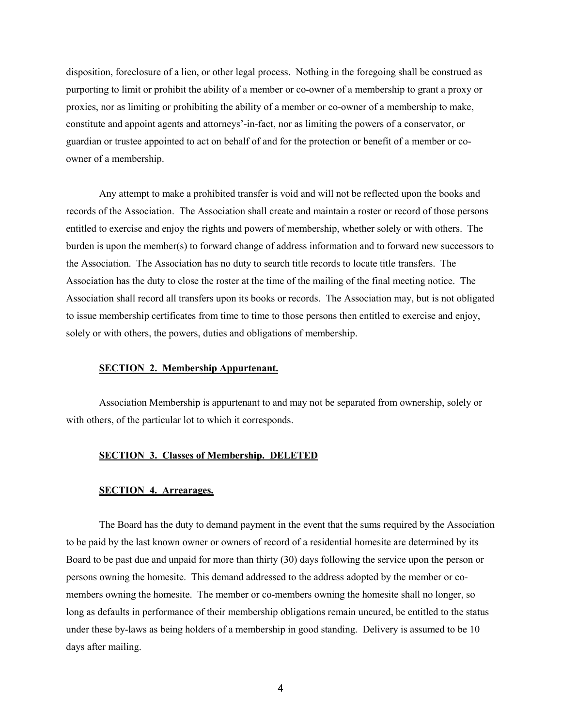disposition, foreclosure of a lien, or other legal process. Nothing in the foregoing shall be construed as purporting to limit or prohibit the ability of a member or co-owner of a membership to grant a proxy or proxies, nor as limiting or prohibiting the ability of a member or co-owner of a membership to make, constitute and appoint agents and attorneys'-in-fact, nor as limiting the powers of a conservator, or guardian or trustee appointed to act on behalf of and for the protection or benefit of a member or coowner of a membership.

Any attempt to make a prohibited transfer is void and will not be reflected upon the books and records of the Association. The Association shall create and maintain a roster or record of those persons entitled to exercise and enjoy the rights and powers of membership, whether solely or with others. The burden is upon the member(s) to forward change of address information and to forward new successors to the Association. The Association has no duty to search title records to locate title transfers. The Association has the duty to close the roster at the time of the mailing of the final meeting notice. The Association shall record all transfers upon its books or records. The Association may, but is not obligated to issue membership certificates from time to time to those persons then entitled to exercise and enjoy, solely or with others, the powers, duties and obligations of membership.

## **SECTION 2. Membership Appurtenant.**

Association Membership is appurtenant to and may not be separated from ownership, solely or with others, of the particular lot to which it corresponds.

#### **SECTION 3. Classes of Membership. DELETED**

## **SECTION 4. Arrearages.**

The Board has the duty to demand payment in the event that the sums required by the Association to be paid by the last known owner or owners of record of a residential homesite are determined by its Board to be past due and unpaid for more than thirty (30) days following the service upon the person or persons owning the homesite. This demand addressed to the address adopted by the member or comembers owning the homesite. The member or co-members owning the homesite shall no longer, so long as defaults in performance of their membership obligations remain uncured, be entitled to the status under these by-laws as being holders of a membership in good standing. Delivery is assumed to be 10 days after mailing.

4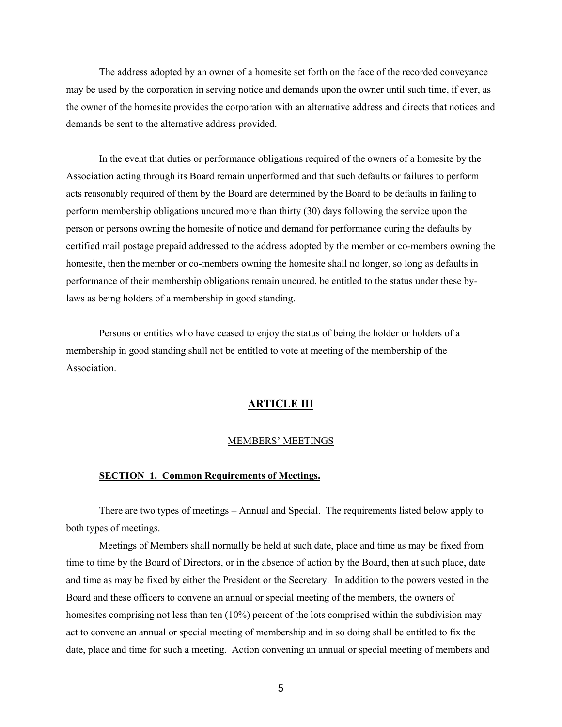The address adopted by an owner of a homesite set forth on the face of the recorded conveyance may be used by the corporation in serving notice and demands upon the owner until such time, if ever, as the owner of the homesite provides the corporation with an alternative address and directs that notices and demands be sent to the alternative address provided.

In the event that duties or performance obligations required of the owners of a homesite by the Association acting through its Board remain unperformed and that such defaults or failures to perform acts reasonably required of them by the Board are determined by the Board to be defaults in failing to perform membership obligations uncured more than thirty (30) days following the service upon the person or persons owning the homesite of notice and demand for performance curing the defaults by certified mail postage prepaid addressed to the address adopted by the member or co-members owning the homesite, then the member or co-members owning the homesite shall no longer, so long as defaults in performance of their membership obligations remain uncured, be entitled to the status under these bylaws as being holders of a membership in good standing.

Persons or entities who have ceased to enjoy the status of being the holder or holders of a membership in good standing shall not be entitled to vote at meeting of the membership of the Association.

## **ARTICLE III**

## MEMBERS' MEETINGS

# **SECTION 1. Common Requirements of Meetings.**

There are two types of meetings – Annual and Special. The requirements listed below apply to both types of meetings.

Meetings of Members shall normally be held at such date, place and time as may be fixed from time to time by the Board of Directors, or in the absence of action by the Board, then at such place, date and time as may be fixed by either the President or the Secretary. In addition to the powers vested in the Board and these officers to convene an annual or special meeting of the members, the owners of homesites comprising not less than ten (10%) percent of the lots comprised within the subdivision may act to convene an annual or special meeting of membership and in so doing shall be entitled to fix the date, place and time for such a meeting. Action convening an annual or special meeting of members and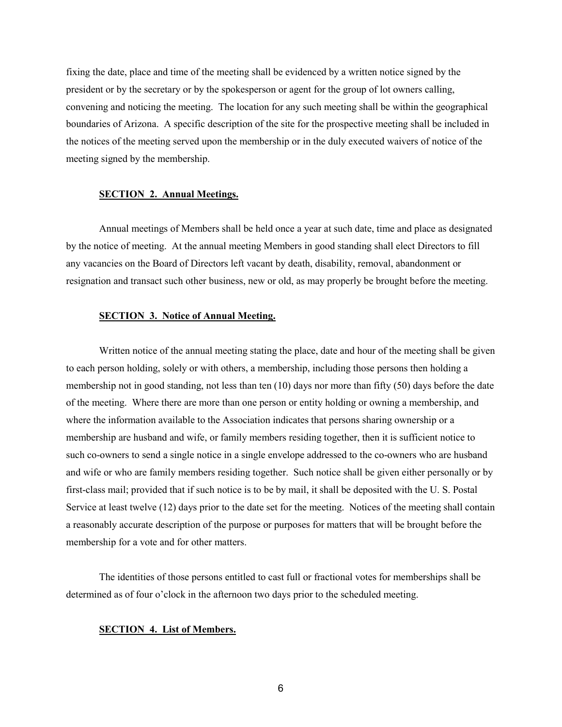fixing the date, place and time of the meeting shall be evidenced by a written notice signed by the president or by the secretary or by the spokesperson or agent for the group of lot owners calling, convening and noticing the meeting. The location for any such meeting shall be within the geographical boundaries of Arizona. A specific description of the site for the prospective meeting shall be included in the notices of the meeting served upon the membership or in the duly executed waivers of notice of the meeting signed by the membership.

#### **SECTION 2. Annual Meetings.**

Annual meetings of Members shall be held once a year at such date, time and place as designated by the notice of meeting. At the annual meeting Members in good standing shall elect Directors to fill any vacancies on the Board of Directors left vacant by death, disability, removal, abandonment or resignation and transact such other business, new or old, as may properly be brought before the meeting.

# **SECTION 3. Notice of Annual Meeting.**

Written notice of the annual meeting stating the place, date and hour of the meeting shall be given to each person holding, solely or with others, a membership, including those persons then holding a membership not in good standing, not less than ten (10) days nor more than fifty (50) days before the date of the meeting. Where there are more than one person or entity holding or owning a membership, and where the information available to the Association indicates that persons sharing ownership or a membership are husband and wife, or family members residing together, then it is sufficient notice to such co-owners to send a single notice in a single envelope addressed to the co-owners who are husband and wife or who are family members residing together. Such notice shall be given either personally or by first-class mail; provided that if such notice is to be by mail, it shall be deposited with the U. S. Postal Service at least twelve (12) days prior to the date set for the meeting. Notices of the meeting shall contain a reasonably accurate description of the purpose or purposes for matters that will be brought before the membership for a vote and for other matters.

The identities of those persons entitled to cast full or fractional votes for memberships shall be determined as of four o'clock in the afternoon two days prior to the scheduled meeting.

## **SECTION 4. List of Members.**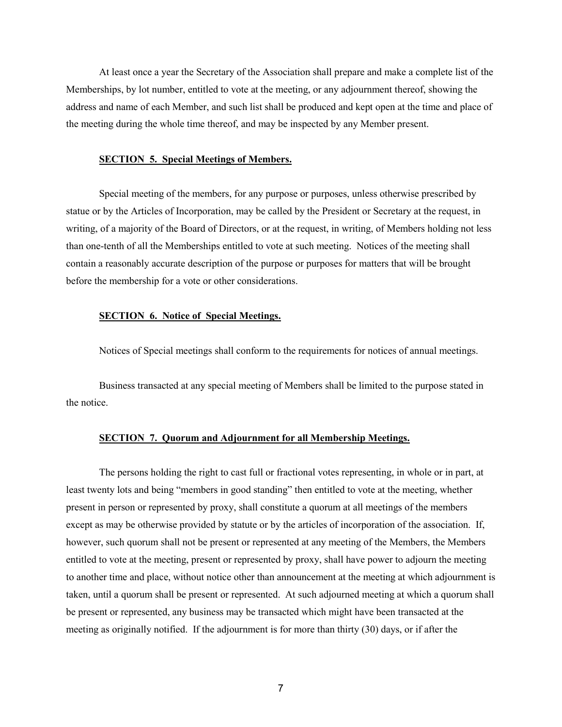At least once a year the Secretary of the Association shall prepare and make a complete list of the Memberships, by lot number, entitled to vote at the meeting, or any adjournment thereof, showing the address and name of each Member, and such list shall be produced and kept open at the time and place of the meeting during the whole time thereof, and may be inspected by any Member present.

### **SECTION 5. Special Meetings of Members.**

Special meeting of the members, for any purpose or purposes, unless otherwise prescribed by statue or by the Articles of Incorporation, may be called by the President or Secretary at the request, in writing, of a majority of the Board of Directors, or at the request, in writing, of Members holding not less than one-tenth of all the Memberships entitled to vote at such meeting. Notices of the meeting shall contain a reasonably accurate description of the purpose or purposes for matters that will be brought before the membership for a vote or other considerations.

# **SECTION 6. Notice of Special Meetings.**

Notices of Special meetings shall conform to the requirements for notices of annual meetings.

Business transacted at any special meeting of Members shall be limited to the purpose stated in the notice.

#### **SECTION 7. Quorum and Adjournment for all Membership Meetings.**

The persons holding the right to cast full or fractional votes representing, in whole or in part, at least twenty lots and being "members in good standing" then entitled to vote at the meeting, whether present in person or represented by proxy, shall constitute a quorum at all meetings of the members except as may be otherwise provided by statute or by the articles of incorporation of the association. If, however, such quorum shall not be present or represented at any meeting of the Members, the Members entitled to vote at the meeting, present or represented by proxy, shall have power to adjourn the meeting to another time and place, without notice other than announcement at the meeting at which adjournment is taken, until a quorum shall be present or represented. At such adjourned meeting at which a quorum shall be present or represented, any business may be transacted which might have been transacted at the meeting as originally notified. If the adjournment is for more than thirty (30) days, or if after the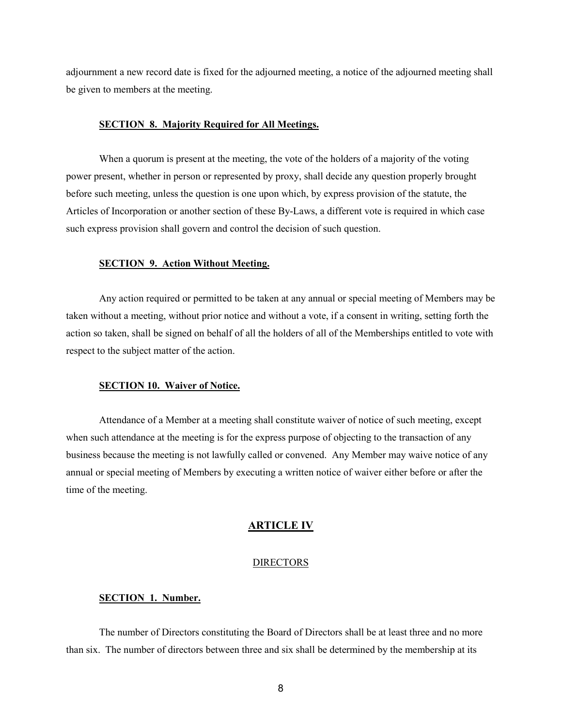adjournment a new record date is fixed for the adjourned meeting, a notice of the adjourned meeting shall be given to members at the meeting.

## **SECTION 8. Majority Required for All Meetings.**

When a quorum is present at the meeting, the vote of the holders of a majority of the voting power present, whether in person or represented by proxy, shall decide any question properly brought before such meeting, unless the question is one upon which, by express provision of the statute, the Articles of Incorporation or another section of these By-Laws, a different vote is required in which case such express provision shall govern and control the decision of such question.

#### **SECTION 9. Action Without Meeting.**

Any action required or permitted to be taken at any annual or special meeting of Members may be taken without a meeting, without prior notice and without a vote, if a consent in writing, setting forth the action so taken, shall be signed on behalf of all the holders of all of the Memberships entitled to vote with respect to the subject matter of the action.

#### **SECTION 10. Waiver of Notice.**

Attendance of a Member at a meeting shall constitute waiver of notice of such meeting, except when such attendance at the meeting is for the express purpose of objecting to the transaction of any business because the meeting is not lawfully called or convened. Any Member may waive notice of any annual or special meeting of Members by executing a written notice of waiver either before or after the time of the meeting.

#### **ARTICLE IV**

#### **DIRECTORS**

# **SECTION 1. Number.**

The number of Directors constituting the Board of Directors shall be at least three and no more than six. The number of directors between three and six shall be determined by the membership at its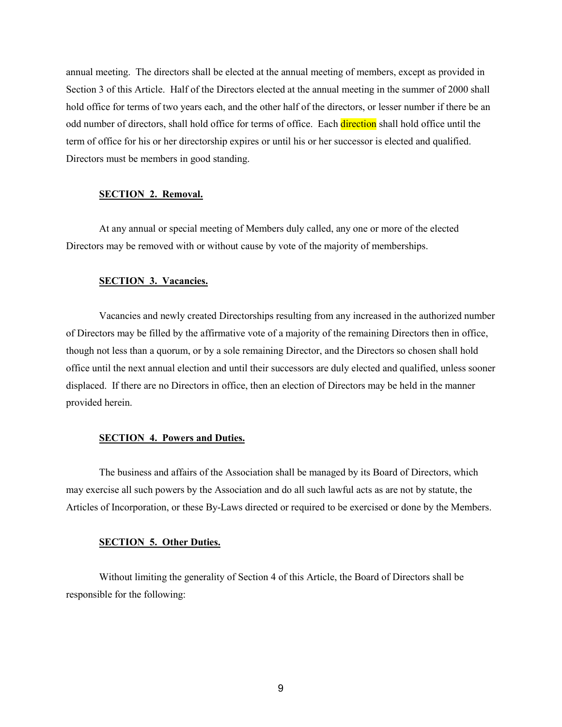annual meeting. The directors shall be elected at the annual meeting of members, except as provided in Section 3 of this Article. Half of the Directors elected at the annual meeting in the summer of 2000 shall hold office for terms of two years each, and the other half of the directors, or lesser number if there be an odd number of directors, shall hold office for terms of office. Each direction shall hold office until the term of office for his or her directorship expires or until his or her successor is elected and qualified. Directors must be members in good standing.

#### **SECTION 2. Removal.**

At any annual or special meeting of Members duly called, any one or more of the elected Directors may be removed with or without cause by vote of the majority of memberships.

## **SECTION 3. Vacancies.**

Vacancies and newly created Directorships resulting from any increased in the authorized number of Directors may be filled by the affirmative vote of a majority of the remaining Directors then in office, though not less than a quorum, or by a sole remaining Director, and the Directors so chosen shall hold office until the next annual election and until their successors are duly elected and qualified, unless sooner displaced. If there are no Directors in office, then an election of Directors may be held in the manner provided herein.

## **SECTION 4. Powers and Duties.**

The business and affairs of the Association shall be managed by its Board of Directors, which may exercise all such powers by the Association and do all such lawful acts as are not by statute, the Articles of Incorporation, or these By-Laws directed or required to be exercised or done by the Members.

#### **SECTION 5. Other Duties.**

Without limiting the generality of Section 4 of this Article, the Board of Directors shall be responsible for the following: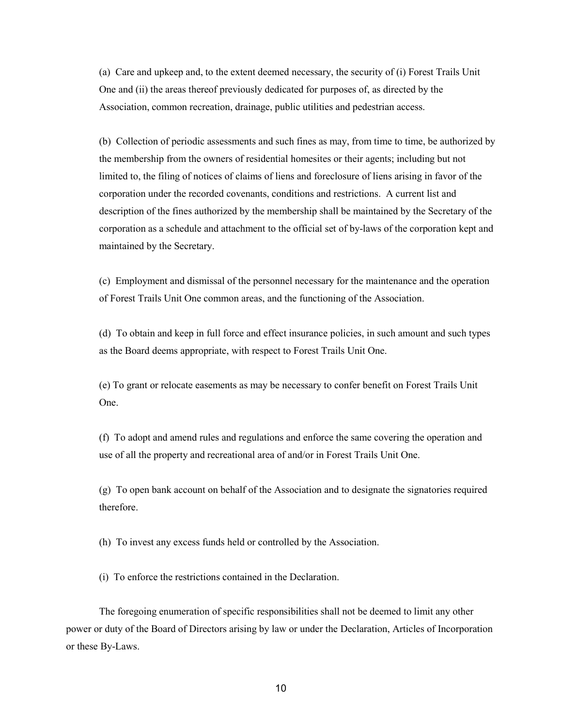(a) Care and upkeep and, to the extent deemed necessary, the security of (i) Forest Trails Unit One and (ii) the areas thereof previously dedicated for purposes of, as directed by the Association, common recreation, drainage, public utilities and pedestrian access.

(b) Collection of periodic assessments and such fines as may, from time to time, be authorized by the membership from the owners of residential homesites or their agents; including but not limited to, the filing of notices of claims of liens and foreclosure of liens arising in favor of the corporation under the recorded covenants, conditions and restrictions. A current list and description of the fines authorized by the membership shall be maintained by the Secretary of the corporation as a schedule and attachment to the official set of by-laws of the corporation kept and maintained by the Secretary.

(c) Employment and dismissal of the personnel necessary for the maintenance and the operation of Forest Trails Unit One common areas, and the functioning of the Association.

(d) To obtain and keep in full force and effect insurance policies, in such amount and such types as the Board deems appropriate, with respect to Forest Trails Unit One.

(e) To grant or relocate easements as may be necessary to confer benefit on Forest Trails Unit One.

(f) To adopt and amend rules and regulations and enforce the same covering the operation and use of all the property and recreational area of and/or in Forest Trails Unit One.

(g) To open bank account on behalf of the Association and to designate the signatories required therefore.

(h) To invest any excess funds held or controlled by the Association.

(i) To enforce the restrictions contained in the Declaration.

The foregoing enumeration of specific responsibilities shall not be deemed to limit any other power or duty of the Board of Directors arising by law or under the Declaration, Articles of Incorporation or these By-Laws.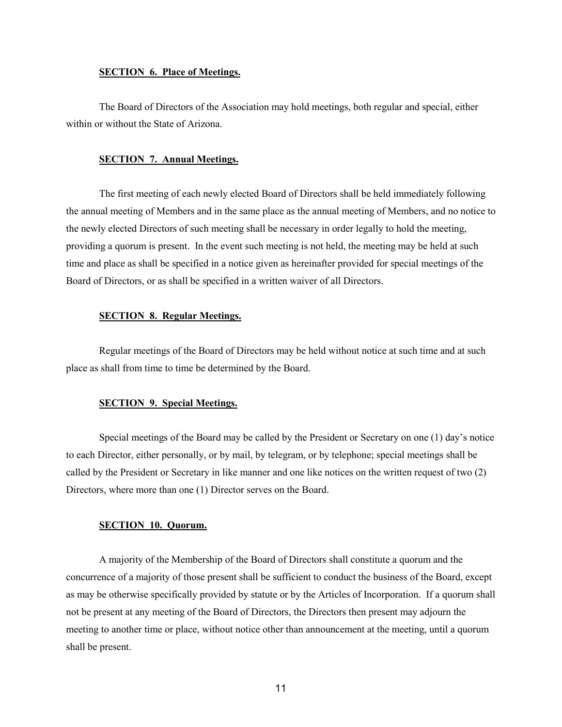#### **SECTION 6. Place of Meetings.**

The Board of Directors of the Association may hold meetings, both regular and special, either within or without the State of Arizona.

## **SECTION 7. Annual Meetings.**

The first meeting of each newly elected Board of Directors shall be held immediately following the annual meeting of Members and in the same place as the annual meeting of Members, and no notice to the newly elected Directors of such meeting shall be necessary in order legally to hold the meeting, providing a quorum is present. In the event such meeting is not held, the meeting may be held at such time and place as shall be specified in a notice given as hereinafter provided for special meetings of the Board of Directors, or as shall be specified in a written waiver of all Directors.

## **SECTION 8. Regular Meetings.**

Regular meetings of the Board of Directors may be held without notice at such time and at such place as shall from time to time be determined by the Board.

#### **SECTION 9. Special Meetings.**

Special meetings of the Board may be called by the President or Secretary on one (1) day's notice to each Director, either personally, or by mail, by telegram, or by telephone; special meetings shall be called by the President or Secretary in like manner and one like notices on the written request of two (2) Directors, where more than one (1) Director serves on the Board.

# **SECTION 10. Quorum.**

A majority of the Membership of the Board of Directors shall constitute a quorum and the concurrence of a majority of those present shall be sufficient to conduct the business of the Board, except as may be otherwise specifically provided by statute or by the Articles of Incorporation. If a quorum shall not be present at any meeting of the Board of Directors, the Directors then present may adjourn the meeting to another time or place, without notice other than announcement at the meeting, until a quorum shall be present.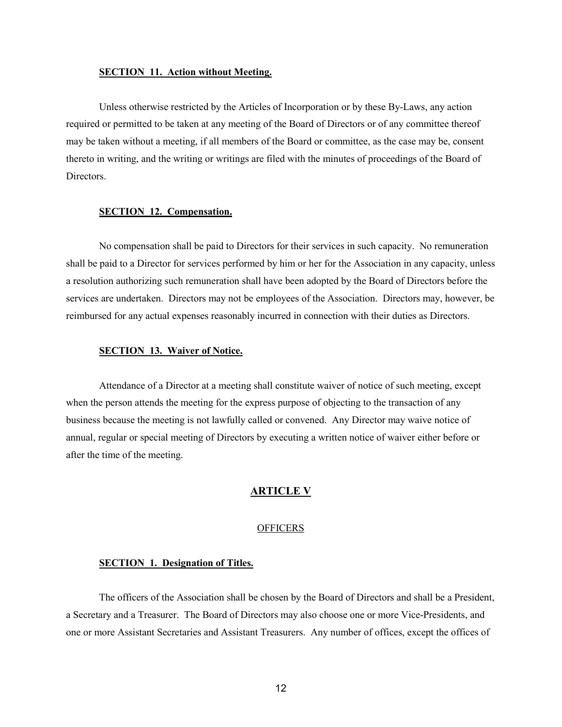#### **SECTION 11. Action without Meeting.**

Unless otherwise restricted by the Articles of Incorporation or by these By-Laws, any action required or permitted to be taken at any meeting of the Board of Directors or of any committee thereof may be taken without a meeting, if all members of the Board or committee, as the case may be, consent thereto in writing, and the writing or writings are filed with the minutes of proceedings of the Board of Directors.

# **SECTION 12. Compensation.**

No compensation shall be paid to Directors for their services in such capacity. No remuneration shall be paid to a Director for services performed by him or her for the Association in any capacity, unless a resolution authorizing such remuneration shall have been adopted by the Board of Directors before the services are undertaken. Directors may not be employees of the Association. Directors may, however, be reimbursed for any actual expenses reasonably incurred in connection with their duties as Directors.

## **SECTION 13. Waiver of Notice.**

Attendance of a Director at a meeting shall constitute waiver of notice of such meeting, except when the person attends the meeting for the express purpose of objecting to the transaction of any business because the meeting is not lawfully called or convened. Any Director may waive notice of annual, regular or special meeting of Directors by executing a written notice of waiver either before or after the time of the meeting.

# **ARTICLE V**

#### **OFFICERS**

#### **SECTION 1. Designation of Titles.**

The officers of the Association shall be chosen by the Board of Directors and shall be a President, a Secretary and a Treasurer. The Board of Directors may also choose one or more Vice-Presidents, and one or more Assistant Secretaries and Assistant Treasurers. Any number of offices, except the offices of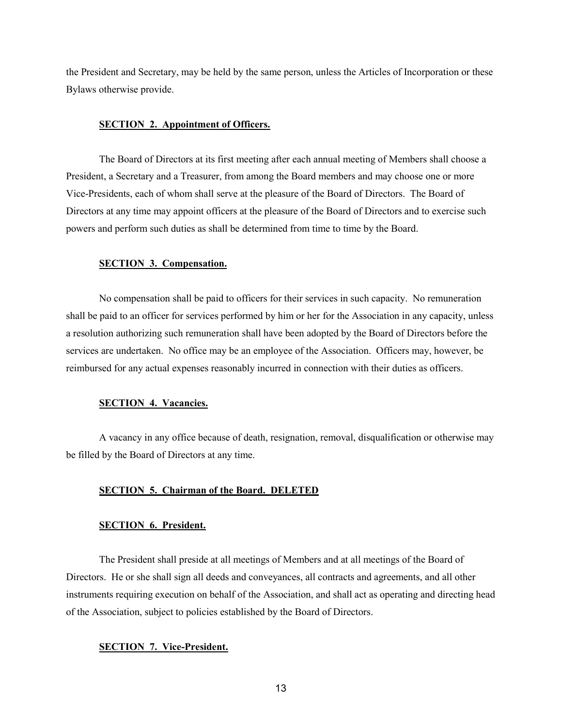the President and Secretary, may be held by the same person, unless the Articles of Incorporation or these Bylaws otherwise provide.

## **SECTION 2. Appointment of Officers.**

The Board of Directors at its first meeting after each annual meeting of Members shall choose a President, a Secretary and a Treasurer, from among the Board members and may choose one or more Vice-Presidents, each of whom shall serve at the pleasure of the Board of Directors. The Board of Directors at any time may appoint officers at the pleasure of the Board of Directors and to exercise such powers and perform such duties as shall be determined from time to time by the Board.

### **SECTION 3. Compensation.**

No compensation shall be paid to officers for their services in such capacity. No remuneration shall be paid to an officer for services performed by him or her for the Association in any capacity, unless a resolution authorizing such remuneration shall have been adopted by the Board of Directors before the services are undertaken. No office may be an employee of the Association. Officers may, however, be reimbursed for any actual expenses reasonably incurred in connection with their duties as officers.

#### **SECTION 4. Vacancies.**

A vacancy in any office because of death, resignation, removal, disqualification or otherwise may be filled by the Board of Directors at any time.

# **SECTION 5. Chairman of the Board. DELETED**

# **SECTION 6. President.**

The President shall preside at all meetings of Members and at all meetings of the Board of Directors. He or she shall sign all deeds and conveyances, all contracts and agreements, and all other instruments requiring execution on behalf of the Association, and shall act as operating and directing head of the Association, subject to policies established by the Board of Directors.

## **SECTION 7. Vice-President.**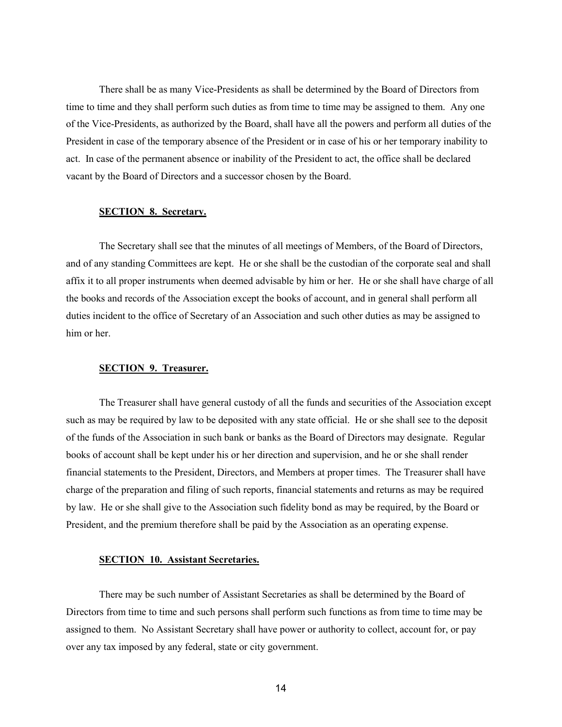There shall be as many Vice-Presidents as shall be determined by the Board of Directors from time to time and they shall perform such duties as from time to time may be assigned to them. Any one of the Vice-Presidents, as authorized by the Board, shall have all the powers and perform all duties of the President in case of the temporary absence of the President or in case of his or her temporary inability to act. In case of the permanent absence or inability of the President to act, the office shall be declared vacant by the Board of Directors and a successor chosen by the Board.

# **SECTION 8. Secretary.**

The Secretary shall see that the minutes of all meetings of Members, of the Board of Directors, and of any standing Committees are kept. He or she shall be the custodian of the corporate seal and shall affix it to all proper instruments when deemed advisable by him or her. He or she shall have charge of all the books and records of the Association except the books of account, and in general shall perform all duties incident to the office of Secretary of an Association and such other duties as may be assigned to him or her

## **SECTION 9. Treasurer.**

The Treasurer shall have general custody of all the funds and securities of the Association except such as may be required by law to be deposited with any state official. He or she shall see to the deposit of the funds of the Association in such bank or banks as the Board of Directors may designate. Regular books of account shall be kept under his or her direction and supervision, and he or she shall render financial statements to the President, Directors, and Members at proper times. The Treasurer shall have charge of the preparation and filing of such reports, financial statements and returns as may be required by law. He or she shall give to the Association such fidelity bond as may be required, by the Board or President, and the premium therefore shall be paid by the Association as an operating expense.

# **SECTION 10. Assistant Secretaries.**

There may be such number of Assistant Secretaries as shall be determined by the Board of Directors from time to time and such persons shall perform such functions as from time to time may be assigned to them. No Assistant Secretary shall have power or authority to collect, account for, or pay over any tax imposed by any federal, state or city government.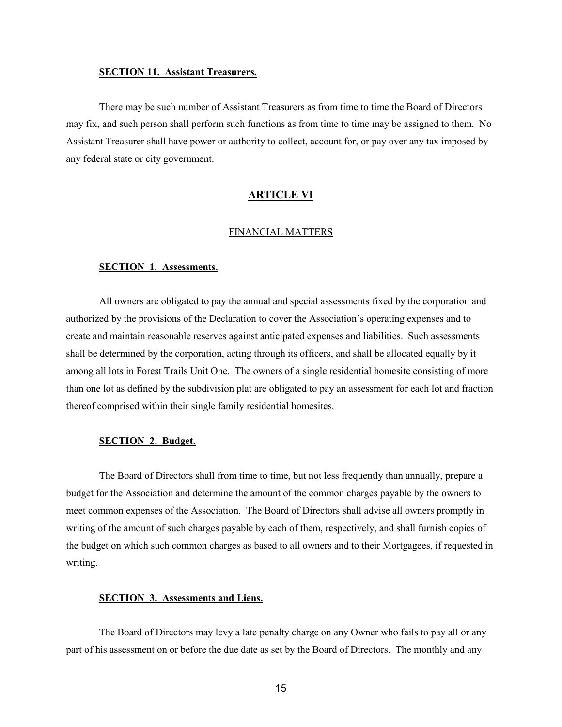#### **SECTION 11. Assistant Treasurers.**

There may be such number of Assistant Treasurers as from time to time the Board of Directors may fix, and such person shall perform such functions as from time to time may be assigned to them. No Assistant Treasurer shall have power or authority to collect, account for, or pay over any tax imposed by any federal state or city government.

## **ARTICLE VI**

# FINANCIAL MATTERS

#### **SECTION 1. Assessments.**

All owners are obligated to pay the annual and special assessments fixed by the corporation and authorized by the provisions of the Declaration to cover the Association's operating expenses and to create and maintain reasonable reserves against anticipated expenses and liabilities. Such assessments shall be determined by the corporation, acting through its officers, and shall be allocated equally by it among all lots in Forest Trails Unit One. The owners of a single residential homesite consisting of more than one lot as defined by the subdivision plat are obligated to pay an assessment for each lot and fraction thereof comprised within their single family residential homesites.

#### **SECTION 2. Budget.**

The Board of Directors shall from time to time, but not less frequently than annually, prepare a budget for the Association and determine the amount of the common charges payable by the owners to meet common expenses of the Association. The Board of Directors shall advise all owners promptly in writing of the amount of such charges payable by each of them, respectively, and shall furnish copies of the budget on which such common charges as based to all owners and to their Mortgagees, if requested in writing.

# **SECTION 3. Assessments and Liens.**

The Board of Directors may levy a late penalty charge on any Owner who fails to pay all or any part of his assessment on or before the due date as set by the Board of Directors. The monthly and any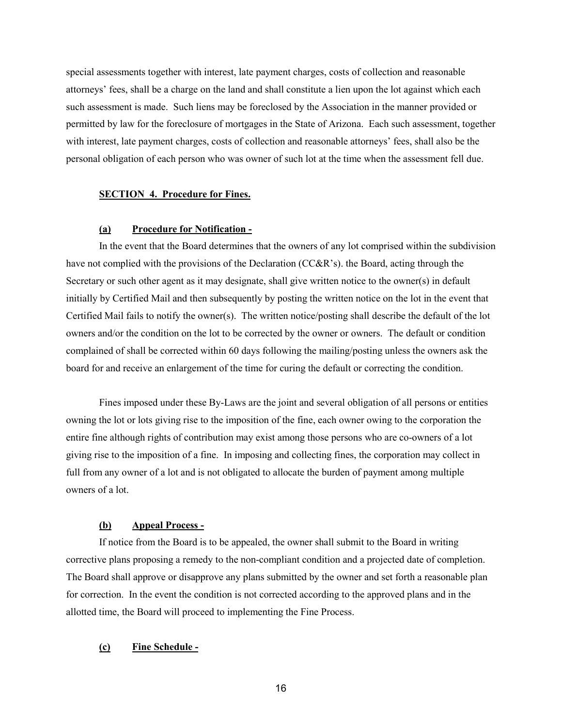special assessments together with interest, late payment charges, costs of collection and reasonable attorneys' fees, shall be a charge on the land and shall constitute a lien upon the lot against which each such assessment is made. Such liens may be foreclosed by the Association in the manner provided or permitted by law for the foreclosure of mortgages in the State of Arizona. Each such assessment, together with interest, late payment charges, costs of collection and reasonable attorneys' fees, shall also be the personal obligation of each person who was owner of such lot at the time when the assessment fell due.

## **SECTION 4. Procedure for Fines.**

## **(a) Procedure for Notification -**

In the event that the Board determines that the owners of any lot comprised within the subdivision have not complied with the provisions of the Declaration (CC&R's). the Board, acting through the Secretary or such other agent as it may designate, shall give written notice to the owner(s) in default initially by Certified Mail and then subsequently by posting the written notice on the lot in the event that Certified Mail fails to notify the owner(s). The written notice/posting shall describe the default of the lot owners and/or the condition on the lot to be corrected by the owner or owners. The default or condition complained of shall be corrected within 60 days following the mailing/posting unless the owners ask the board for and receive an enlargement of the time for curing the default or correcting the condition.

Fines imposed under these By-Laws are the joint and several obligation of all persons or entities owning the lot or lots giving rise to the imposition of the fine, each owner owing to the corporation the entire fine although rights of contribution may exist among those persons who are co-owners of a lot giving rise to the imposition of a fine. In imposing and collecting fines, the corporation may collect in full from any owner of a lot and is not obligated to allocate the burden of payment among multiple owners of a lot.

## **(b) Appeal Process -**

If notice from the Board is to be appealed, the owner shall submit to the Board in writing corrective plans proposing a remedy to the non-compliant condition and a projected date of completion. The Board shall approve or disapprove any plans submitted by the owner and set forth a reasonable plan for correction. In the event the condition is not corrected according to the approved plans and in the allotted time, the Board will proceed to implementing the Fine Process.

# **(c) Fine Schedule -**

16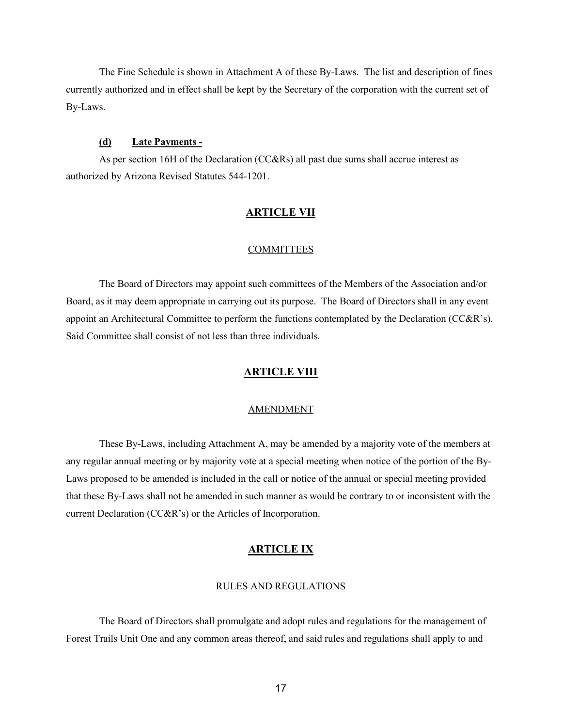The Fine Schedule is shown in Attachment A of these By-Laws. The list and description of fines currently authorized and in effect shall be kept by the Secretary of the corporation with the current set of By-Laws.

# **(d) Late Payments -**

As per section 16H of the Declaration (CC&Rs) all past due sums shall accrue interest as authorized by Arizona Revised Statutes 544-1201.

# **ARTICLE VII**

## COMMITTEES

The Board of Directors may appoint such committees of the Members of the Association and/or Board, as it may deem appropriate in carrying out its purpose. The Board of Directors shall in any event appoint an Architectural Committee to perform the functions contemplated by the Declaration (CC&R's). Said Committee shall consist of not less than three individuals.

# **ARTICLE VIII**

#### AMENDMENT

These By-Laws, including Attachment A, may be amended by a majority vote of the members at any regular annual meeting or by majority vote at a special meeting when notice of the portion of the By-Laws proposed to be amended is included in the call or notice of the annual or special meeting provided that these By-Laws shall not be amended in such manner as would be contrary to or inconsistent with the current Declaration (CC&R's) or the Articles of Incorporation.

## **ARTICLE IX**

#### RULES AND REGULATIONS

The Board of Directors shall promulgate and adopt rules and regulations for the management of Forest Trails Unit One and any common areas thereof, and said rules and regulations shall apply to and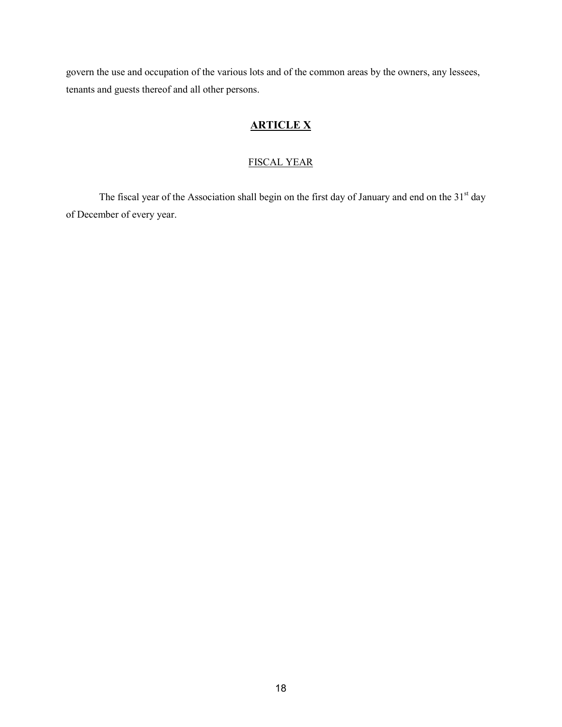govern the use and occupation of the various lots and of the common areas by the owners, any lessees, tenants and guests thereof and all other persons.

# **ARTICLE X**

# FISCAL YEAR

The fiscal year of the Association shall begin on the first day of January and end on the 31<sup>st</sup> day of December of every year.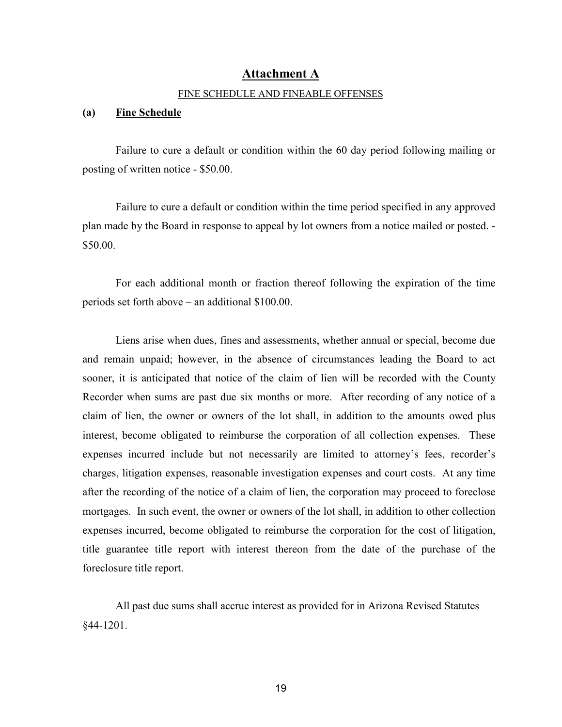# **Attachment A**

# FINE SCHEDULE AND FINEABLE OFFENSES

# **(a) Fine Schedule**

Failure to cure a default or condition within the 60 day period following mailing or posting of written notice - \$50.00.

Failure to cure a default or condition within the time period specified in any approved plan made by the Board in response to appeal by lot owners from a notice mailed or posted. - \$50.00.

For each additional month or fraction thereof following the expiration of the time periods set forth above – an additional \$100.00.

Liens arise when dues, fines and assessments, whether annual or special, become due and remain unpaid; however, in the absence of circumstances leading the Board to act sooner, it is anticipated that notice of the claim of lien will be recorded with the County Recorder when sums are past due six months or more. After recording of any notice of a claim of lien, the owner or owners of the lot shall, in addition to the amounts owed plus interest, become obligated to reimburse the corporation of all collection expenses. These expenses incurred include but not necessarily are limited to attorney's fees, recorder's charges, litigation expenses, reasonable investigation expenses and court costs. At any time after the recording of the notice of a claim of lien, the corporation may proceed to foreclose mortgages. In such event, the owner or owners of the lot shall, in addition to other collection expenses incurred, become obligated to reimburse the corporation for the cost of litigation, title guarantee title report with interest thereon from the date of the purchase of the foreclosure title report.

All past due sums shall accrue interest as provided for in Arizona Revised Statutes §44-1201.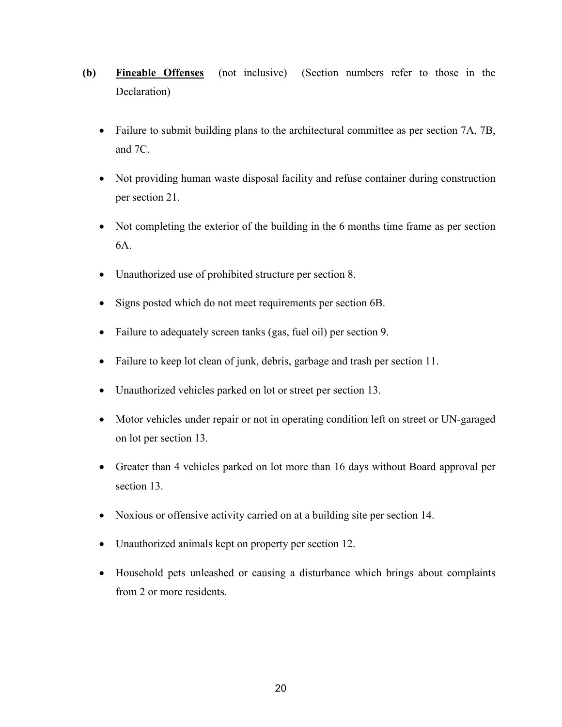- **(b) Fineable Offenses** (not inclusive) (Section numbers refer to those in the Declaration)
	- Failure to submit building plans to the architectural committee as per section 7A, 7B, and 7C.
	- Not providing human waste disposal facility and refuse container during construction per section 21.
	- Not completing the exterior of the building in the 6 months time frame as per section 6A.
	- Unauthorized use of prohibited structure per section 8.
	- Signs posted which do not meet requirements per section 6B.
	- Failure to adequately screen tanks (gas, fuel oil) per section 9.
	- Failure to keep lot clean of junk, debris, garbage and trash per section 11.
	- Unauthorized vehicles parked on lot or street per section 13.
	- Motor vehicles under repair or not in operating condition left on street or UN-garaged on lot per section 13.
	- Greater than 4 vehicles parked on lot more than 16 days without Board approval per section 13.
	- Noxious or offensive activity carried on at a building site per section 14.
	- Unauthorized animals kept on property per section 12.
	- Household pets unleashed or causing a disturbance which brings about complaints from 2 or more residents.